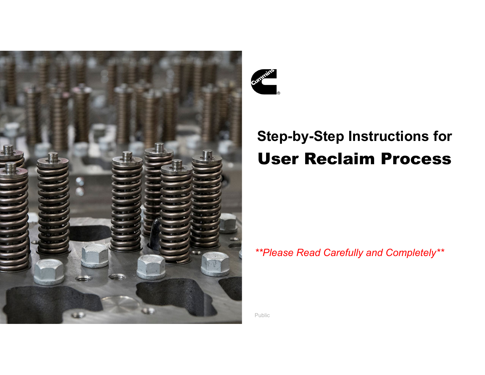



# **Step-by-Step Instructions for** User Reclaim Process

## *\*\*Please Read Carefully and Completely\*\**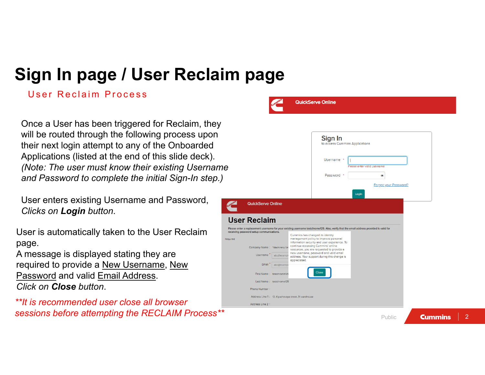# **Sign In page / User Reclaim page**

### User Reclaim Process

Once a User has been triggered for Reclaim, they will be routed through the following process upon their next login attempt to any of the Onboarded Applications (listed at the end of this slide deck). *(Note: The user must know their existing Username and Password to complete the initial Sign-In step.)*

User enters existing Username and Password, *Clicks on Login button*.

User is automatically taken to the User Reclaim page.

A message is displayed stating they are required to provide a New Username, New Password and valid Email Address. *Click on Close button*.

*\*\*It is recommended user close all browser sessions before attempting the RECLAIM Process\*\**



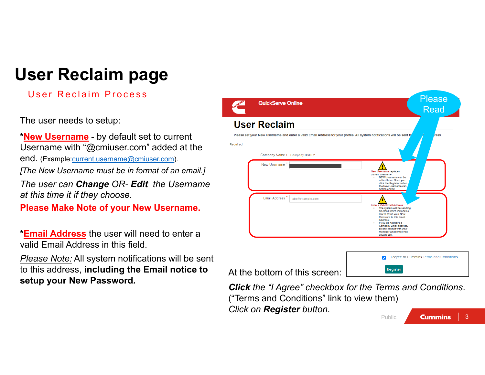# **User Reclaim page**

## User Reclaim Process

The user needs to setup:

**\*New Username** - by default set to current Username with "@cmiuser.com" added at the end. (Example:current.username@cmiuser.com).

*[The New Username must be in format of an email.]*

*The user can Change OR- Edit the Username at this time it if they choose.*

**Please Make Note of your New Username.** 

**\*Email Address** the user will need to enter a valid Email Address in this field.

*Please Note:* All system notifications will be sent to this address, **including the Email notice to setup your New Password***.*



*Click the "I Agree" checkbox for the Terms and Conditions*. ("Terms and Conditions" link to view them) *Click on Register button*. **Cummins** 3Public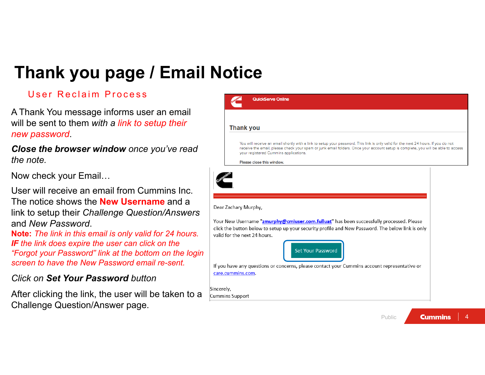# **Thank you page / Email Notice**

## User Reclaim Process

A Thank You message informs user an email will be sent to them *with a link to setup their new password*.

*Close the browser window once you've read the note.*

Now check your Email…

User will receive an email from Cummins Inc. The notice shows the **New Username** and a link to setup their *Challenge Question/Answers* and *New Password*.

**Note:** *The link in this email is only valid for 24 hours. IF the link does expire the user can click on the "Forgot your Password" link at the bottom on the login screen to have the New Password email re-sent.*

### *Click on Set Your Password button*

After clicking the link, the user will be taken to a Challenge Question/Answer page.

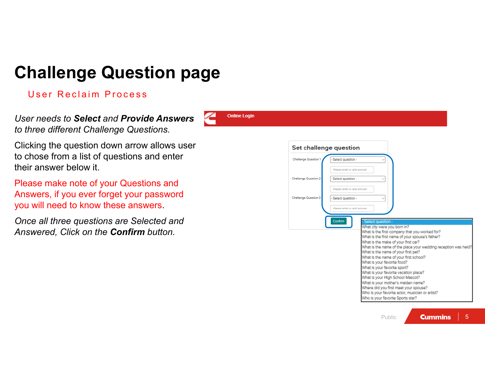# **Challenge Question page**

**Online Login** 

### User Reclaim Process

*User needs to Select and Provide Answers to three different Challenge Questions.*

Clicking the question down arrow allows user to chose from a list of questions and enter their answer below it.

Please make note of your Questions and Answers, if you ever forget your password you will need to know these answers.

*Once all three questions are Selected and Answered, Click on the Confirm button.*

| Challenge Question 1        | - Select question -                                                                                                                                                                                                                                                                                                                                                                                                                                                                                                                                                                     |
|-----------------------------|-----------------------------------------------------------------------------------------------------------------------------------------------------------------------------------------------------------------------------------------------------------------------------------------------------------------------------------------------------------------------------------------------------------------------------------------------------------------------------------------------------------------------------------------------------------------------------------------|
|                             | Please enter a valid answer                                                                                                                                                                                                                                                                                                                                                                                                                                                                                                                                                             |
| <b>Challenge Question 2</b> | - Select question -                                                                                                                                                                                                                                                                                                                                                                                                                                                                                                                                                                     |
|                             | Please enter a valid answer                                                                                                                                                                                                                                                                                                                                                                                                                                                                                                                                                             |
| Challenge Question 3        | - Select question -                                                                                                                                                                                                                                                                                                                                                                                                                                                                                                                                                                     |
|                             | Please enter a valid answer                                                                                                                                                                                                                                                                                                                                                                                                                                                                                                                                                             |
|                             | Confirm<br>- Select question -<br>What city were you born In?<br>What is the first company that you worked for?<br>What is the first name of your spouse's father?<br>What is the make of your first car?<br>What is the name of the place your wedding reception was held?<br>What is the name of your first pet?<br>What is the name of your first school?<br>What is your favorite food?<br>What is your favorite sport?<br>What is your favorite vacation place?<br>What Is your High School Mascot?<br>What is your mother's maiden name?<br>Where did you first meet your spouse? |

**Cummins**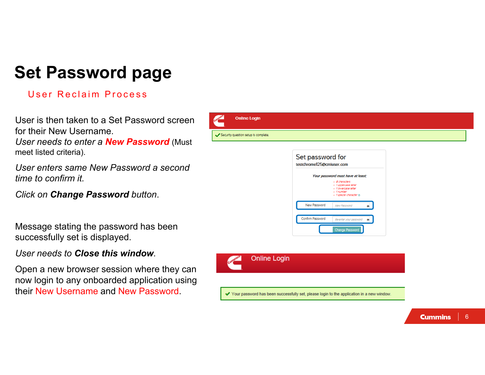## **Set Password page**

#### User Reclaim Process

User is then taken to a Set Password screen for their New Username. *User needs to enter a New Password* (Must meet listed criteria).



*User enters same New Password a second time to confirm it.*

*Click on Change Password button*.

Message stating the password has been successfully set is displayed.

*User needs to Close this window.*

Open a new browser session where they can now login to any onboarded application using their New Username and New Password.

| Your password must have at least: |                                                                                                                              |  |  |
|-----------------------------------|------------------------------------------------------------------------------------------------------------------------------|--|--|
|                                   | - <i><b>B</b></i> characters<br>· 1 uppercase letter<br>. 1 Inwernese letter<br>. <i>i numher</i><br>· 1 special character ® |  |  |
| New Password                      | New Password                                                                                                                 |  |  |
| Confirm Password                  | Re-enter your password                                                                                                       |  |  |

**Online Login** 

✔ Your password has been successfully set, please login to the application in a new window.